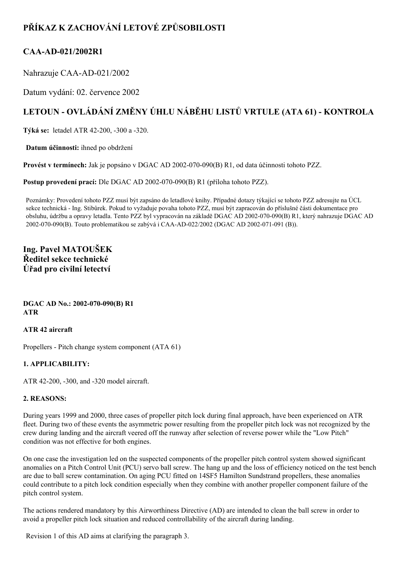## **PŘÍKAZ K ZACHOVÁNÍ LETOVÉ ZPŮSOBILOSTI**

### **CAAAD021/2002R1**

Nahrazuje CAA-AD-021/2002

Datum vydání: 02. července 2002

# **LETOUN OVLÁDÁNÍ ZMĚNY ÚHLU NÁBĚHU LISTŮ VRTULE (ATA 61) KONTROLA**

**Týká se:** letadel ATR 42-200, -300 a -320.

**Datum účinnosti:** ihned po obdržení

**Provést v termínech:** Jak je popsáno v DGAC AD 2002-070-090(B) R1, od data účinnosti tohoto PZZ.

**Postup provedení prací:** Dle DGAC AD 2002-070-090(B) R1 (příloha tohoto PZZ).

Poznámky: Provedení tohoto PZZ musí být zapsáno do letadlové knihy. Případné dotazy týkající se tohoto PZZ adresujte na ÚCL sekce technická Ing. Stibůrek. Pokud to vyžaduje povaha tohoto PZZ, musí být zapracován do příslušné části dokumentace pro obsluhu, údržbu a opravy letadla. Tento PZZ byl vypracován na základě DGAC AD 2002-070-090(B) R1, který nahrazuje DGAC AD 2002-070-090(B). Touto problematikou se zabývá i CAA-AD-022/2002 (DGAC AD 2002-071-091 (B)).

**Ing. Pavel MATOUŠEK Ředitel sekce technické Úřad pro civilní letectví**

**DGAC AD No.: 2002-070-090(B) R1 ATR**

#### **ATR 42 aircraft**

Propellers - Pitch change system component (ATA 61)

#### **1. APPLICABILITY:**

ATR 42-200, -300, and -320 model aircraft.

#### **2. REASONS:**

During years 1999 and 2000, three cases of propeller pitch lock during final approach, have been experienced on ATR fleet. During two of these events the asymmetric power resulting from the propeller pitch lock was not recognized by the crew during landing and the aircraft veered off the runway after selection of reverse power while the "Low Pitch" condition was not effective for both engines.

On one case the investigation led on the suspected components of the propeller pitch control system showed significant anomalies on a Pitch Control Unit (PCU) servo ball screw. The hang up and the loss of efficiency noticed on the test bench are due to ball screw contamination. On aging PCU fitted on 14SF5 Hamilton Sundstrand propellers, these anomalies could contribute to a pitch lock condition especially when they combine with another propeller component failure of the pitch control system.

The actions rendered mandatory by this Airworthiness Directive (AD) are intended to clean the ball screw in order to avoid a propeller pitch lock situation and reduced controllability of the aircraft during landing.

Revision 1 of this AD aims at clarifying the paragraph 3.